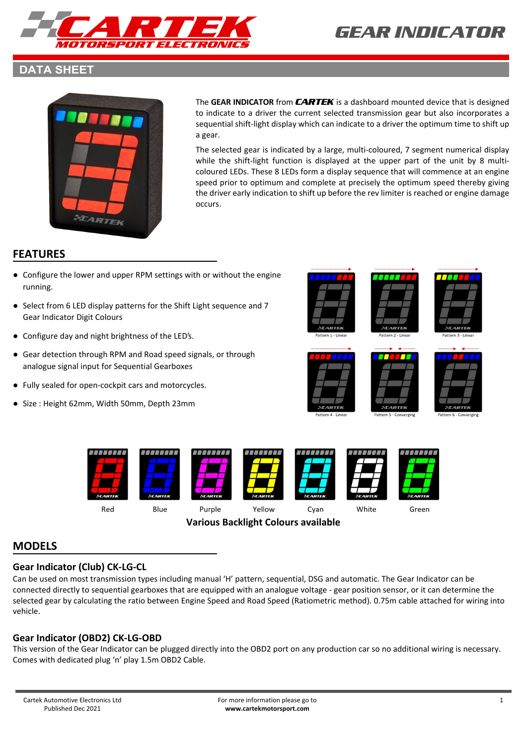

#### **DATA SHEET**



The **GEAR INDICATOR** from *CARTEK* is a dashboard mounted device that is designed to indicate to a driver the current selected transmission gear but also incorporates a sequential shift-light display which can indicate to a driver the optimum time to shift up a gear.

The selected gear is indicated by a large, multi-coloured, 7 segment numerical display while the shift-light function is displayed at the upper part of the unit by 8 multicoloured LEDs. These 8 LEDs form a display sequence that will commence at an engine speed prior to optimum and complete at precisely the optimum speed thereby giving the driver early indication to shift up before the rev limiter is reached or engine damage occurs.

### **FEATURES**

- Configure the lower and upper RPM settings with or without the engine running.
- Select from 6 LED display patterns for the Shift Light sequence and 7 Gear Indicator Digit Colours
- Configure day and night brightness of the LED's.
- Gear detection through RPM and Road speed signals, or through analogue signal input for Sequential Gearboxes
- Fully sealed for open-cockpit cars and motorcycles.
- Size : Height 62mm, Width 50mm, Depth 23mm















**Various Backlight Colours available**

### **MODELS**

#### **Gear Indicator (Club) CK-LG-CL**

Can be used on most transmission types including manual 'H' pattern, sequential, DSG and automatic. The Gear Indicator can be connected directly to sequential gearboxes that are equipped with an analogue voltage - gear position sensor, or it can determine the selected gear by calculating the ratio between Engine Speed and Road Speed (Ratiometric method). 0.75m cable attached for wiring into vehicle.

#### **Gear Indicator (OBD2) CK-LG-OBD**

This version of the Gear Indicator can be plugged directly into the OBD2 port on any production car so no additional wiring is necessary. Comes with dedicated plug 'n' play 1.5m OBD2 Cable.